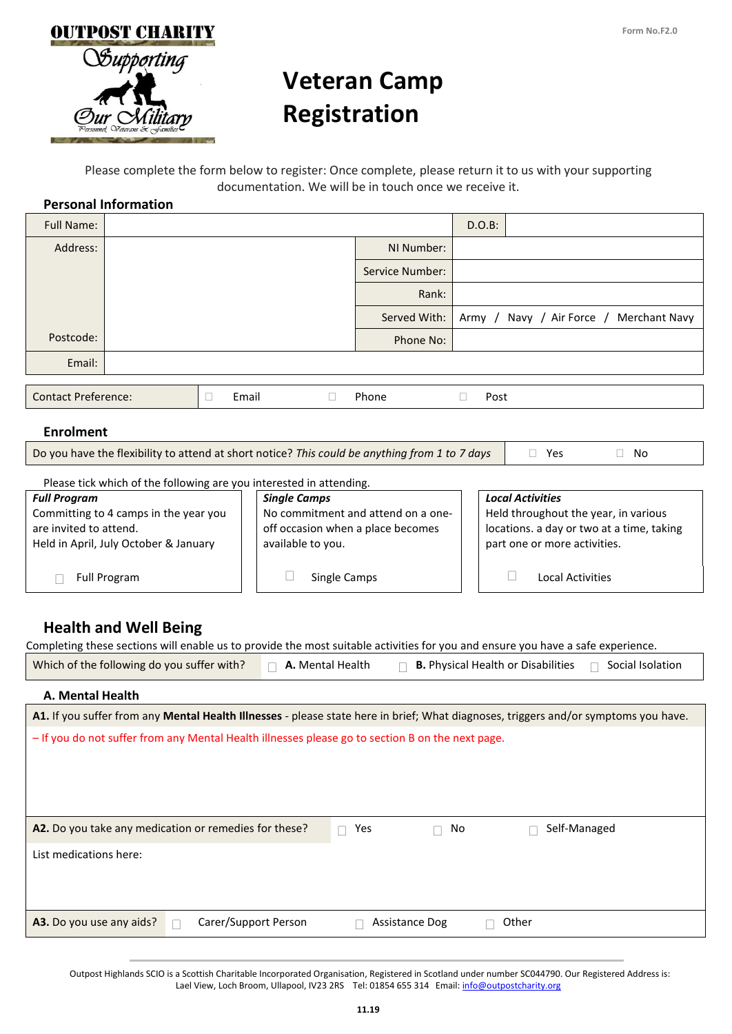

# **Veteran Camp Registration**

Please complete the form below to register: Once complete, please return it to us with your supporting documentation. We will be in touch once we receive it.

#### **Personal Information**

| <b>Full Name:</b>                                                   |  |       |                                                                                                |                 | $D.O.B$ :                                 |                         |                                         |
|---------------------------------------------------------------------|--|-------|------------------------------------------------------------------------------------------------|-----------------|-------------------------------------------|-------------------------|-----------------------------------------|
| Address:                                                            |  |       |                                                                                                | NI Number:      |                                           |                         |                                         |
|                                                                     |  |       |                                                                                                | Service Number: |                                           |                         |                                         |
|                                                                     |  |       |                                                                                                | Rank:           |                                           |                         |                                         |
|                                                                     |  |       |                                                                                                | Served With:    |                                           |                         | Army / Navy / Air Force / Merchant Navy |
| Postcode:                                                           |  |       |                                                                                                | Phone No:       |                                           |                         |                                         |
| Email:                                                              |  |       |                                                                                                |                 |                                           |                         |                                         |
|                                                                     |  |       |                                                                                                |                 |                                           |                         |                                         |
| <b>Contact Preference:</b><br>П                                     |  | Email | $\mathbf{L}$                                                                                   | Phone           | Post                                      |                         |                                         |
| <b>Enrolment</b>                                                    |  |       |                                                                                                |                 |                                           |                         |                                         |
|                                                                     |  |       | Do you have the flexibility to attend at short notice? This could be anything from 1 to 7 days |                 | Yes                                       | No                      |                                         |
| Please tick which of the following are you interested in attending. |  |       |                                                                                                |                 |                                           |                         |                                         |
| <b>Single Camps</b><br><b>Full Program</b>                          |  |       | <b>Local Activities</b>                                                                        |                 |                                           |                         |                                         |
| Committing to 4 camps in the year you                               |  |       | No commitment and attend on a one-                                                             |                 | Held throughout the year, in various      |                         |                                         |
| are invited to attend.                                              |  |       | off occasion when a place becomes                                                              |                 | locations. a day or two at a time, taking |                         |                                         |
| Held in April, July October & January                               |  |       | available to you.                                                                              |                 | part one or more activities.              |                         |                                         |
|                                                                     |  |       |                                                                                                |                 |                                           |                         |                                         |
| <b>Full Program</b>                                                 |  |       | Single Camps                                                                                   |                 |                                           | <b>Local Activities</b> |                                         |

## **Health and Well Being**

| <b>Health and Well Being</b>                                                                                                        |                  |                                           |                  |  |
|-------------------------------------------------------------------------------------------------------------------------------------|------------------|-------------------------------------------|------------------|--|
| Completing these sections will enable us to provide the most suitable activities for you and ensure you have a safe experience.     |                  |                                           |                  |  |
| Which of the following do you suffer with?                                                                                          | A. Mental Health | <b>B.</b> Physical Health or Disabilities | Social Isolation |  |
| A. Mental Health                                                                                                                    |                  |                                           |                  |  |
| A1. If you suffer from any Mental Health Illnesses - please state here in brief; What diagnoses, triggers and/or symptoms you have. |                  |                                           |                  |  |
| - If you do not suffer from any Mental Health illnesses please go to section B on the next page.                                    |                  |                                           |                  |  |
| A2. Do you take any medication or remedies for these?                                                                               | Yes<br>$\Box$    | No                                        | Self-Managed     |  |
| List medications here:                                                                                                              |                  |                                           |                  |  |

**A3.** Do you use any aids? A Carer/Support Person Assistance Dog and Other

 Outpost Highlands SCIO is a Scottish Charitable Incorporated Organisation, Registered in Scotland under number SC044790. Our Registered Address is: Lael View, Loch Broom, Ullapool, IV23 2RS Tel: 01854 655 314 Email[: info@outpostcharity.org](mailto:info@outpostcharity.org)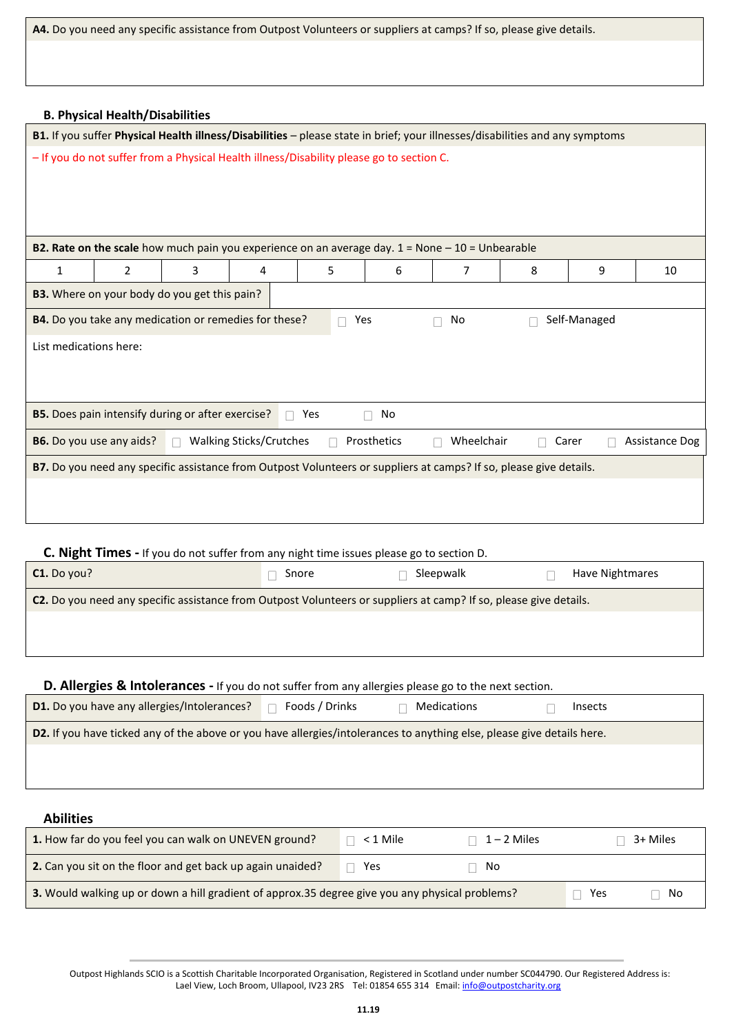**A4.** Do you need any specific assistance from Outpost Volunteers or suppliers at camps? If so, please give details.

|                        | <b>B. Physical Health/Disabilities</b> |                                                                                                 |                                |               |             |                                                                                                                              |   |                        |                |
|------------------------|----------------------------------------|-------------------------------------------------------------------------------------------------|--------------------------------|---------------|-------------|------------------------------------------------------------------------------------------------------------------------------|---|------------------------|----------------|
|                        |                                        |                                                                                                 |                                |               |             | B1. If you suffer Physical Health illness/Disabilities - please state in brief; your illnesses/disabilities and any symptoms |   |                        |                |
|                        |                                        | - If you do not suffer from a Physical Health illness/Disability please go to section C.        |                                |               |             |                                                                                                                              |   |                        |                |
|                        |                                        |                                                                                                 |                                |               |             | <b>B2. Rate on the scale</b> how much pain you experience on an average day. $1 =$ None $-10 =$ Unbearable                   |   |                        |                |
| $\mathbf{1}$           | $\overline{2}$                         | 3                                                                                               | 4                              | 5             | 6           | 7                                                                                                                            | 8 | 9                      | 10             |
|                        |                                        | B3. Where on your body do you get this pain?                                                    |                                |               |             |                                                                                                                              |   |                        |                |
|                        |                                        | B4. Do you take any medication or remedies for these?                                           |                                |               | Yes         | No                                                                                                                           |   | Self-Managed           |                |
| List medications here: |                                        |                                                                                                 |                                |               |             |                                                                                                                              |   |                        |                |
|                        |                                        | B5. Does pain intensify during or after exercise?                                               |                                | Yes<br>$\Box$ | No<br>П     |                                                                                                                              |   |                        |                |
|                        | <b>B6.</b> Do you use any aids?        |                                                                                                 | <b>Walking Sticks/Crutches</b> |               | Prosthetics | Wheelchair                                                                                                                   |   | Carer                  | Assistance Dog |
|                        |                                        |                                                                                                 |                                |               |             | B7. Do you need any specific assistance from Outpost Volunteers or suppliers at camps? If so, please give details.           |   |                        |                |
| C1. Do you?            |                                        | <b>C. Night Times -</b> If you do not suffer from any night time issues please go to section D. |                                | Snore         |             | Sleepwalk                                                                                                                    |   | <b>Have Nightmares</b> |                |
|                        |                                        |                                                                                                 |                                |               |             |                                                                                                                              |   |                        |                |

| C2. Do you need any specific assistance from Outpost Volunteers or suppliers at camp? If so, please give details. |
|-------------------------------------------------------------------------------------------------------------------|
|                                                                                                                   |

#### **D. Allergies & Intolerances -** If you do not suffer from any allergies please go to the next section.

| D1. Do you have any allergies/Intolerances?                                                                            | Foods / Drinks | Medications | Insects |
|------------------------------------------------------------------------------------------------------------------------|----------------|-------------|---------|
| D2. If you have ticked any of the above or you have allergies/intolerances to anything else, please give details here. |                |             |         |
|                                                                                                                        |                |             |         |
|                                                                                                                        |                |             |         |
|                                                                                                                        |                |             |         |

#### **Abilities**

| 1. How far do you feel you can walk on UNEVEN ground?                                           | < 1 Mile | $\vert$ 1 – 2 Miles |  | 3+ Miles |
|-------------------------------------------------------------------------------------------------|----------|---------------------|--|----------|
| 2. Can you sit on the floor and get back up again unaided?                                      | Yes      | ⊓ No                |  |          |
| 3. Would walking up or down a hill gradient of approx.35 degree give you any physical problems? |          |                     |  | No       |

 Outpost Highlands SCIO is a Scottish Charitable Incorporated Organisation, Registered in Scotland under number SC044790. Our Registered Address is: Lael View, Loch Broom, Ullapool, IV23 2RS Tel: 01854 655 314 Email[: info@outpostcharity.org](mailto:info@outpostcharity.org)